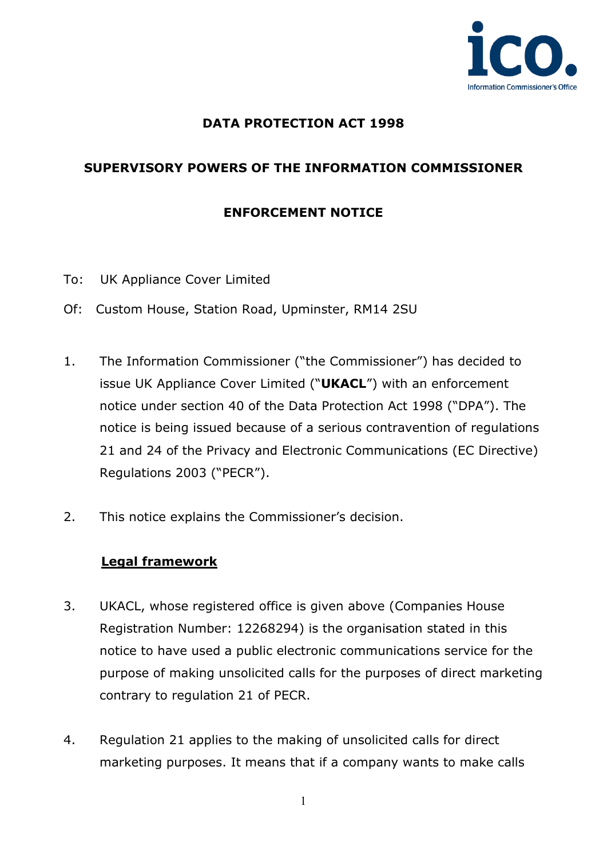

## **DATA PROTECTION ACT 1998**

# **SUPERVISORY POWERS OF THE INFORMATION COMMISSIONER**

#### **ENFORCEMENT NOTICE**

- To: UK Appliance Cover Limited
- Of: Custom House, Station Road, Upminster, RM14 2SU
- 1. The Information Commissioner ("the Commissioner") has decided to issue UK Appliance Cover Limited ("**UKACL**") with an enforcement notice under section 40 of the Data Protection Act 1998 ("DPA"). The notice is being issued because of a serious contravention of regulations 21 and 24 of the Privacy and Electronic Communications (EC Directive) Regulations 2003 ("PECR").
- 2. This notice explains the Commissioner's decision.

#### **Legal framework**

- 3. UKACL, whose registered office is given above (Companies House Registration Number: 12268294) is the organisation stated in this notice to have used a public electronic communications service for the purpose of making unsolicited calls for the purposes of direct marketing contrary to regulation 21 of PECR.
- 4. Regulation 21 applies to the making of unsolicited calls for direct marketing purposes. It means that if a company wants to make calls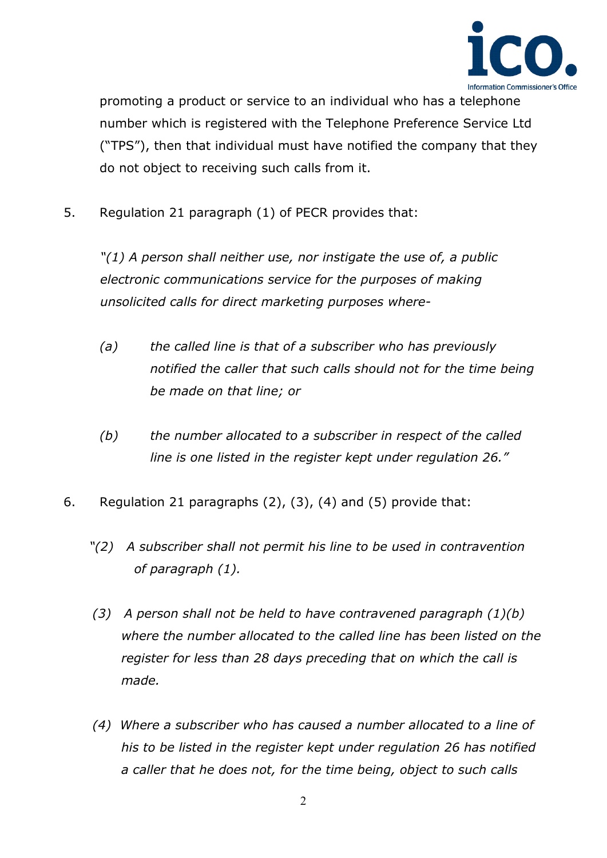

promoting a product or service to an individual who has a telephone number which is registered with the Telephone Preference Service Ltd ("TPS"), then that individual must have notified the company that they do not object to receiving such calls from it.

5. Regulation 21 paragraph (1) of PECR provides that:

*"(1) A person shall neither use, nor instigate the use of, a public electronic communications service for the purposes of making unsolicited calls for direct marketing purposes where-*

- *(a) the called line is that of a subscriber who has previously*  notified the caller that such calls should not for the time being *be made on that line; or*
- *(b) the number allocated to a subscriber in respect of the called line is one listed in the register kept under regulation 26."*
- 6. Regulation 21 paragraphs (2), (3), (4) and (5) provide that:
	- *"(2) A subscriber shall not permit his line to be used in contravention of paragraph (1).*
	- *(3) A person shall not be held to have contravened paragraph (1)(b) where the number allocated to the called line has been listed on the register for less than 28 days preceding that on which the call is made.*
	- *(4) Where a subscriber who has caused a number allocated to a line of his to be listed in the register kept under regulation 26 has notified a caller that he does not, for the time being, object to such calls*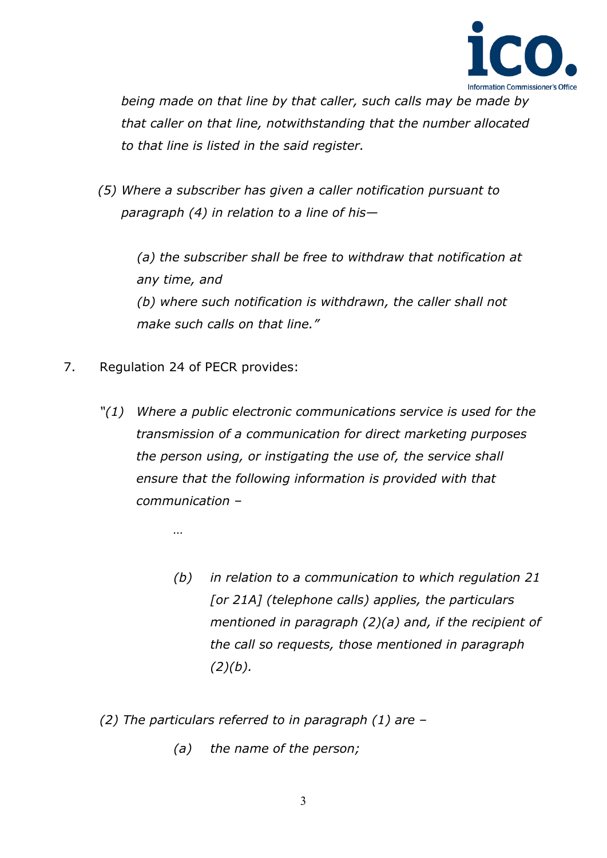

*being made on that line by that caller, such calls may be made by that caller on that line, notwithstanding that the number allocated to that line is listed in the said register.*

 *(5) Where a subscriber has given a caller notification pursuant to paragraph (4) in relation to a line of his—*

*(a) the subscriber shall be free to withdraw that notification at any time, and (b) where such notification is withdrawn, the caller shall not make such calls on that line."*

- 7. Regulation 24 of PECR provides:
	- *"(1) Where a public electronic communications service is used for the transmission of a communication for direct marketing purposes the person using, or instigating the use of, the service shall ensure that the following information is provided with that communication –*

*…* 

- *(b) in relation to a communication to which regulation 21 [or 21A] (telephone calls) applies, the particulars mentioned in paragraph (2)(a) and, if the recipient of the call so requests, those mentioned in paragraph (2)(b).*
- *(2) The particulars referred to in paragraph (1) are –*
	- *(a) the name of the person;*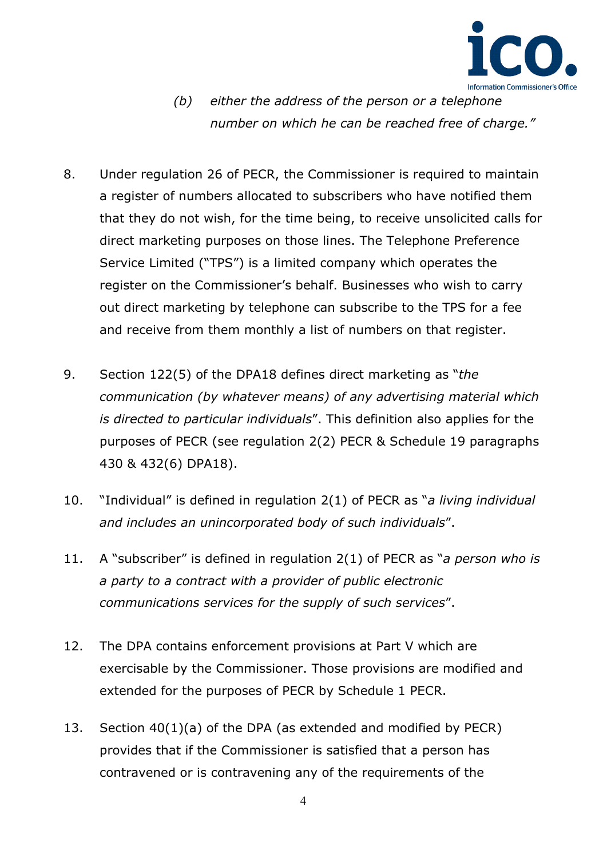

- *(b) either the address of the person or a telephone number on which he can be reached free of charge."*
- 8. Under regulation 26 of PECR, the Commissioner is required to maintain a register of numbers allocated to subscribers who have notified them that they do not wish, for the time being, to receive unsolicited calls for direct marketing purposes on those lines. The Telephone Preference Service Limited ("TPS") is a limited company which operates the register on the Commissioner's behalf. Businesses who wish to carry out direct marketing by telephone can subscribe to the TPS for a fee and receive from them monthly a list of numbers on that register.
- 9. Section 122(5) of the DPA18 defines direct marketing as "*the communication (by whatever means) of any advertising material which is directed to particular individuals*". This definition also applies for the purposes of PECR (see regulation 2(2) PECR & Schedule 19 paragraphs 430 & 432(6) DPA18).
- 10. "Individual" is defined in regulation 2(1) of PECR as "*a living individual and includes an unincorporated body of such individuals*".
- 11. A "subscriber" is defined in regulation 2(1) of PECR as "*a person who is a party to a contract with a provider of public electronic communications services for the supply of such services*".
- 12. The DPA contains enforcement provisions at Part V which are exercisable by the Commissioner. Those provisions are modified and extended for the purposes of PECR by Schedule 1 PECR.
- 13. Section 40(1)(a) of the DPA (as extended and modified by PECR) provides that if the Commissioner is satisfied that a person has contravened or is contravening any of the requirements of the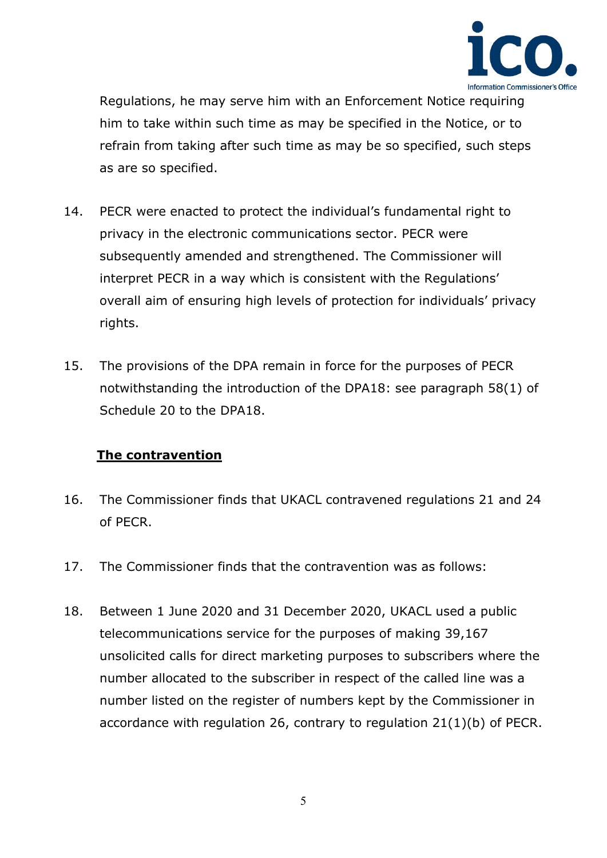

Regulations, he may serve him with an Enforcement Notice requiring him to take within such time as may be specified in the Notice, or to refrain from taking after such time as may be so specified, such steps as are so specified.

- 14. PECR were enacted to protect the individual's fundamental right to privacy in the electronic communications sector. PECR were subsequently amended and strengthened. The Commissioner will interpret PECR in a way which is consistent with the Regulations' overall aim of ensuring high levels of protection for individuals' privacy rights.
- 15. The provisions of the DPA remain in force for the purposes of PECR notwithstanding the introduction of the DPA18: see paragraph 58(1) of Schedule 20 to the DPA18.

#### **The contravention**

- 16. The Commissioner finds that UKACL contravened regulations 21 and 24 of PECR.
- 17. The Commissioner finds that the contravention was as follows:
- 18. Between 1 June 2020 and 31 December 2020, UKACL used a public telecommunications service for the purposes of making 39,167 unsolicited calls for direct marketing purposes to subscribers where the number allocated to the subscriber in respect of the called line was a number listed on the register of numbers kept by the Commissioner in accordance with regulation 26, contrary to regulation 21(1)(b) of PECR.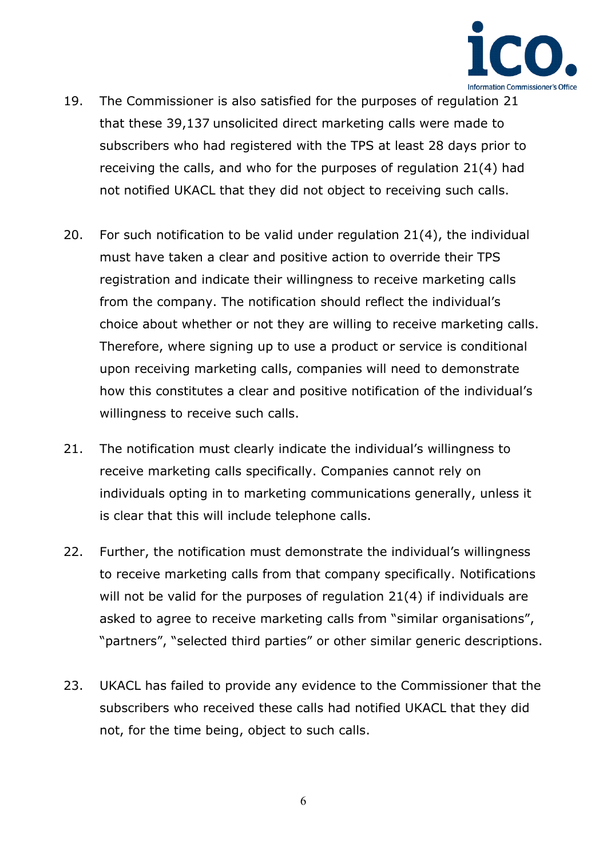

- 19. The Commissioner is also satisfied for the purposes of regulation 21 that these 39,137 unsolicited direct marketing calls were made to subscribers who had registered with the TPS at least 28 days prior to receiving the calls, and who for the purposes of regulation 21(4) had not notified UKACL that they did not object to receiving such calls.
- 20. For such notification to be valid under regulation 21(4), the individual must have taken a clear and positive action to override their TPS registration and indicate their willingness to receive marketing calls from the company. The notification should reflect the individual's choice about whether or not they are willing to receive marketing calls. Therefore, where signing up to use a product or service is conditional upon receiving marketing calls, companies will need to demonstrate how this constitutes a clear and positive notification of the individual's willingness to receive such calls.
- 21. The notification must clearly indicate the individual's willingness to receive marketing calls specifically. Companies cannot rely on individuals opting in to marketing communications generally, unless it is clear that this will include telephone calls.
- 22. Further, the notification must demonstrate the individual's willingness to receive marketing calls from that company specifically. Notifications will not be valid for the purposes of regulation 21(4) if individuals are asked to agree to receive marketing calls from "similar organisations", "partners", "selected third parties" or other similar generic descriptions.
- 23. UKACL has failed to provide any evidence to the Commissioner that the subscribers who received these calls had notified UKACL that they did not, for the time being, object to such calls.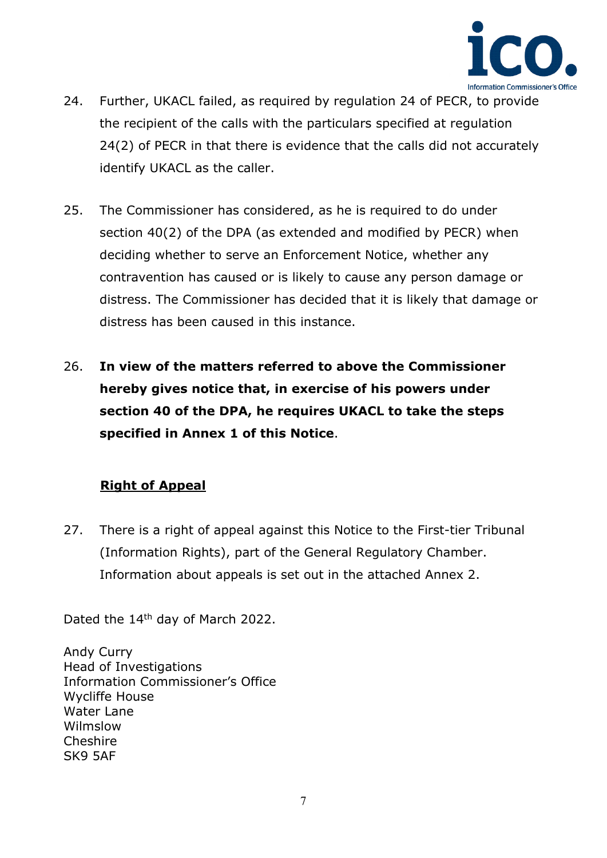

- 24. Further, UKACL failed, as required by regulation 24 of PECR, to provide the recipient of the calls with the particulars specified at regulation 24(2) of PECR in that there is evidence that the calls did not accurately identify UKACL as the caller.
- 25. The Commissioner has considered, as he is required to do under section 40(2) of the DPA (as extended and modified by PECR) when deciding whether to serve an Enforcement Notice, whether any contravention has caused or is likely to cause any person damage or distress. The Commissioner has decided that it is likely that damage or distress has been caused in this instance.
- 26. **In view of the matters referred to above the Commissioner hereby gives notice that, in exercise of his powers under section 40 of the DPA, he requires UKACL to take the steps specified in Annex 1 of this Notice**.

#### **Right of Appeal**

27. There is a right of appeal against this Notice to the First-tier Tribunal (Information Rights), part of the General Regulatory Chamber. Information about appeals is set out in the attached Annex 2.

Dated the 14<sup>th</sup> day of March 2022.

Andy Curry Head of Investigations Information Commissioner's Office Wycliffe House Water Lane Wilmslow **Cheshire** SK9 5AF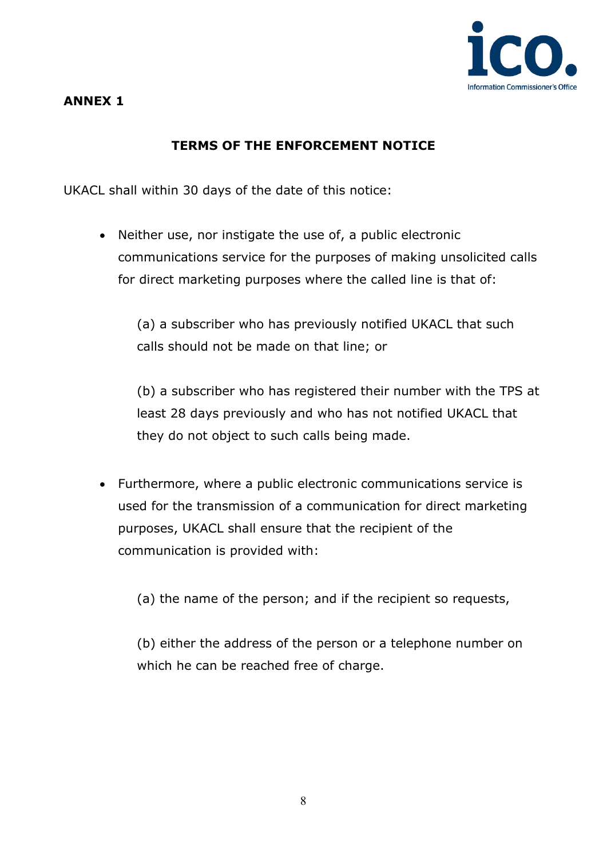

# **ANNEX 1**

# **TERMS OF THE ENFORCEMENT NOTICE**

UKACL shall within 30 days of the date of this notice:

• Neither use, nor instigate the use of, a public electronic communications service for the purposes of making unsolicited calls for direct marketing purposes where the called line is that of:

(a) a subscriber who has previously notified UKACL that such calls should not be made on that line; or

(b) a subscriber who has registered their number with the TPS at least 28 days previously and who has not notified UKACL that they do not object to such calls being made.

• Furthermore, where a public electronic communications service is used for the transmission of a communication for direct marketing purposes, UKACL shall ensure that the recipient of the communication is provided with:

(a) the name of the person; and if the recipient so requests,

(b) either the address of the person or a telephone number on which he can be reached free of charge.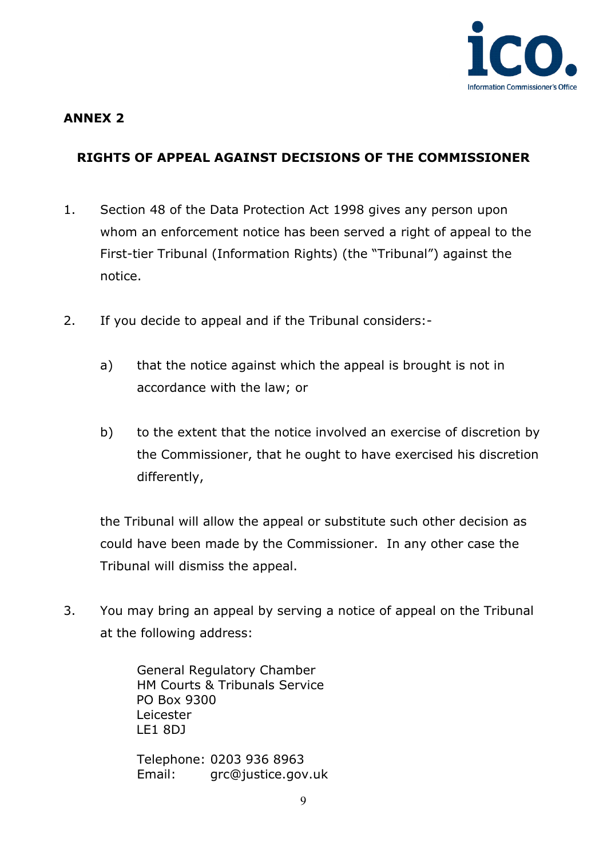

## **ANNEX 2**

# **RIGHTS OF APPEAL AGAINST DECISIONS OF THE COMMISSIONER**

- 1. Section 48 of the Data Protection Act 1998 gives any person upon whom an enforcement notice has been served a right of appeal to the First-tier Tribunal (Information Rights) (the "Tribunal") against the notice.
- 2. If you decide to appeal and if the Tribunal considers:
	- a) that the notice against which the appeal is brought is not in accordance with the law; or
	- b) to the extent that the notice involved an exercise of discretion by the Commissioner, that he ought to have exercised his discretion differently,

the Tribunal will allow the appeal or substitute such other decision as could have been made by the Commissioner. In any other case the Tribunal will dismiss the appeal.

3. You may bring an appeal by serving a notice of appeal on the Tribunal at the following address:

> General Regulatory Chamber HM Courts & Tribunals Service PO Box 9300 Leicester LE1 8DJ

Telephone: 0203 936 8963 Email: [grc@justice.gov.uk](mailto:grc@justice.gov.uk)